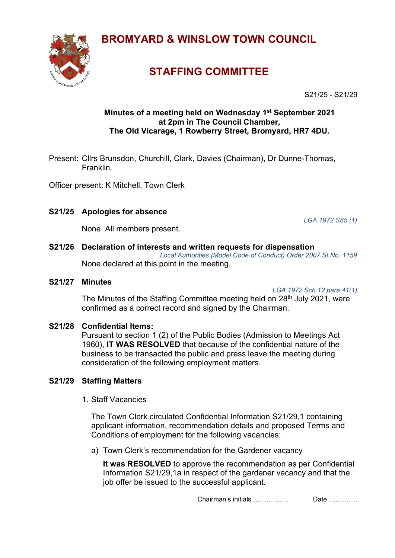**BROMYARD & WINSLOW TOWN COUNCIL**



# **STAFFING COMMITTEE**

S21/25 - S21/29

## **Minutes of a meeting held on Wednesday 1 st September 2021 at 2pm in The Council Chamber, The Old Vicarage, 1 Rowberry Street, Bromyard, HR7 4DU.**

Present: Cllrs Brunsdon, Churchill, Clark, Davies (Chairman), Dr Dunne-Thomas, Franklin.

Officer present: K Mitchell, Town Clerk

## **S21/25 Apologies for absence**

*LGA 1972 S85 (1)*

None. All members present.

#### **S21/26 Declaration of interests and written requests for dispensation**

*Local Authorities (Model Code of Conduct) Order 2007 SI No. 1159* None declared at this point in the meeting.

#### **S21/27 Minutes**

*LGA 1972 Sch 12 para 41(1)*

The Minutes of the Staffing Committee meeting held on 28<sup>th</sup> July 2021, were confirmed as a correct record and signed by the Chairman.

### **S21/28 Confidential Items:**

Pursuant to section 1 (2) of the Public Bodies (Admission to Meetings Act 1960), **IT WAS RESOLVED** that because of the confidential nature of the business to be transacted the public and press leave the meeting during consideration of the following employment matters.

## **S21/29 Staffing Matters**

1. Staff Vacancies

The Town Clerk circulated Confidential Information S21/29,1 containing applicant information, recommendation details and proposed Terms and Conditions of employment for the following vacancies:

a) Town Clerk's recommendation for the Gardener vacancy

**It was RESOLVED** to approve the recommendation as per Confidential Information S21/29,1a in respect of the gardener vacancy and that the job offer be issued to the successful applicant.

Chairman's initials ……………. Date ………….